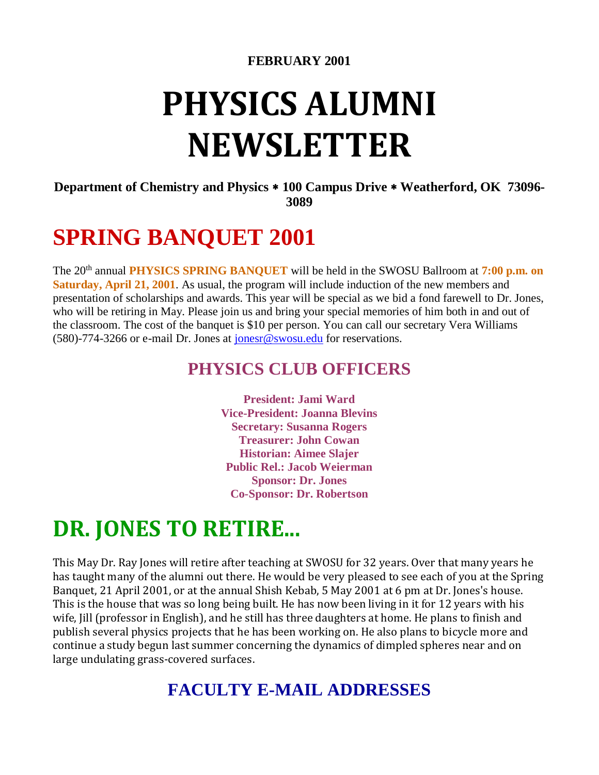#### **FEBRUARY 2001**

# **PHYSICS ALUMNI NEWSLETTER**

**Department of Chemistry and Physics 100 Campus Drive Weatherford, OK 73096- 3089**

## **SPRING BANQUET 2001**

The 20<sup>th</sup> annual **PHYSICS SPRING BANQUET** will be held in the SWOSU Ballroom at 7:00 p.m. on **Saturday, April 21, 2001**. As usual, the program will include induction of the new members and presentation of scholarships and awards. This year will be special as we bid a fond farewell to Dr. Jones, who will be retiring in May. Please join us and bring your special memories of him both in and out of the classroom. The cost of the banquet is \$10 per person. You can call our secretary Vera Williams (580)-774-3266 or e-mail Dr. Jones at [jonesr@swosu.edu](mailto:jonesr@swosu.edu) for reservations.

#### **PHYSICS CLUB OFFICERS**

**President: Jami Ward Vice-President: Joanna Blevins Secretary: Susanna Rogers Treasurer: John Cowan Historian: Aimee Slajer Public Rel.: Jacob Weierman Sponsor: Dr. Jones Co-Sponsor: Dr. Robertson**

## **DR. JONES TO RETIRE...**

This May Dr. Ray Jones will retire after teaching at SWOSU for 32 years. Over that many years he has taught many of the alumni out there. He would be very pleased to see each of you at the Spring Banquet, 21 April 2001, or at the annual Shish Kebab, 5 May 2001 at 6 pm at Dr. Jones's house. This is the house that was so long being built. He has now been living in it for 12 years with his wife, Jill (professor in English), and he still has three daughters at home. He plans to finish and publish several physics projects that he has been working on. He also plans to bicycle more and continue a study begun last summer concerning the dynamics of dimpled spheres near and on large undulating grass-covered surfaces.

#### **FACULTY E-MAIL ADDRESSES**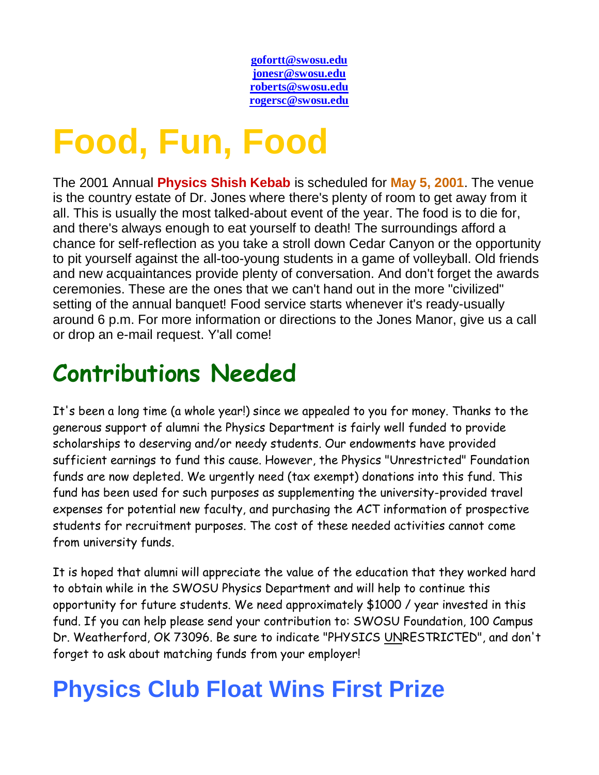**[gofortt@swosu.edu](mailto:gofortt@swosu.edu) [jonesr@swosu.edu](mailto:jonesr@swosu.edu) [roberts@swosu.edu](mailto:roberts@swosu.edu) [rogersc@swosu.edu](mailto:rogersc.swosu.edu)**

# **Food, Fun, Food**

The 2001 Annual **Physics Shish Kebab** is scheduled for **May 5, 2001**. The venue is the country estate of Dr. Jones where there's plenty of room to get away from it all. This is usually the most talked-about event of the year. The food is to die for, and there's always enough to eat yourself to death! The surroundings afford a chance for self-reflection as you take a stroll down Cedar Canyon or the opportunity to pit yourself against the all-too-young students in a game of volleyball. Old friends and new acquaintances provide plenty of conversation. And don't forget the awards ceremonies. These are the ones that we can't hand out in the more "civilized" setting of the annual banquet! Food service starts whenever it's ready-usually around 6 p.m. For more information or directions to the Jones Manor, give us a call or drop an e-mail request. Y'all come!

# **Contributions Needed**

It's been a long time (a whole year!) since we appealed to you for money. Thanks to the generous support of alumni the Physics Department is fairly well funded to provide scholarships to deserving and/or needy students. Our endowments have provided sufficient earnings to fund this cause. However, the Physics "Unrestricted" Foundation funds are now depleted. We urgently need (tax exempt) donations into this fund. This fund has been used for such purposes as supplementing the university-provided travel expenses for potential new faculty, and purchasing the ACT information of prospective students for recruitment purposes. The cost of these needed activities cannot come from university funds.

It is hoped that alumni will appreciate the value of the education that they worked hard to obtain while in the SWOSU Physics Department and will help to continue this opportunity for future students. We need approximately \$1000 / year invested in this fund. If you can help please send your contribution to: SWOSU Foundation, 100 Campus Dr. Weatherford, OK 73096. Be sure to indicate "PHYSICS UNRESTRICTED", and don't forget to ask about matching funds from your employer!

# **Physics Club Float Wins First Prize**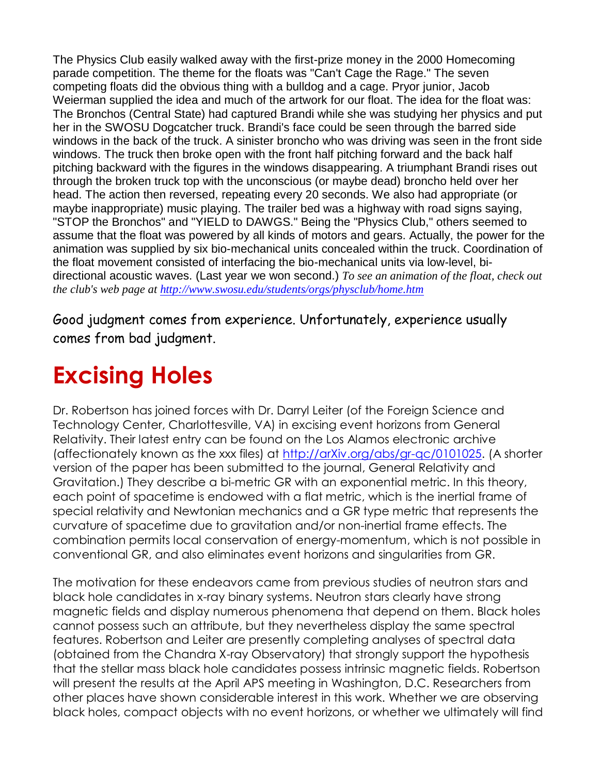The Physics Club easily walked away with the first-prize money in the 2000 Homecoming parade competition. The theme for the floats was "Can't Cage the Rage." The seven competing floats did the obvious thing with a bulldog and a cage. Pryor junior, Jacob Weierman supplied the idea and much of the artwork for our float. The idea for the float was: The Bronchos (Central State) had captured Brandi while she was studying her physics and put her in the SWOSU Dogcatcher truck. Brandi's face could be seen through the barred side windows in the back of the truck. A sinister broncho who was driving was seen in the front side windows. The truck then broke open with the front half pitching forward and the back half pitching backward with the figures in the windows disappearing. A triumphant Brandi rises out through the broken truck top with the unconscious (or maybe dead) broncho held over her head. The action then reversed, repeating every 20 seconds. We also had appropriate (or maybe inappropriate) music playing. The trailer bed was a highway with road signs saying, "STOP the Bronchos" and "YIELD to DAWGS." Being the "Physics Club," others seemed to assume that the float was powered by all kinds of motors and gears. Actually, the power for the animation was supplied by six bio-mechanical units concealed within the truck. Coordination of the float movement consisted of interfacing the bio-mechanical units via low-level, bidirectional acoustic waves. (Last year we won second.) *To see an animation of the float, check out the club's web page at [http://www.swosu.edu/students/orgs/physclub/home.htm](https://swosu.edu/students/orgs/physclub/home.htm)*

Good judgment comes from experience. Unfortunately, experience usually comes from bad judgment.

# **Excising Holes**

Dr. Robertson has joined forces with Dr. Darryl Leiter (of the Foreign Science and Technology Center, Charlottesville, VA) in excising event horizons from General Relativity. Their latest entry can be found on the Los Alamos electronic archive (affectionately known as the xxx files) at [http://arXiv.org/abs/gr-qc/0101025.](http://arxiv.org/abs/gr-qc/0101025) (A shorter version of the paper has been submitted to the journal, General Relativity and Gravitation.) They describe a bi-metric GR with an exponential metric. In this theory, each point of spacetime is endowed with a flat metric, which is the inertial frame of special relativity and Newtonian mechanics and a GR type metric that represents the curvature of spacetime due to gravitation and/or non-inertial frame effects. The combination permits local conservation of energy-momentum, which is not possible in conventional GR, and also eliminates event horizons and singularities from GR.

The motivation for these endeavors came from previous studies of neutron stars and black hole candidates in x-ray binary systems. Neutron stars clearly have strong magnetic fields and display numerous phenomena that depend on them. Black holes cannot possess such an attribute, but they nevertheless display the same spectral features. Robertson and Leiter are presently completing analyses of spectral data (obtained from the Chandra X-ray Observatory) that strongly support the hypothesis that the stellar mass black hole candidates possess intrinsic magnetic fields. Robertson will present the results at the April APS meeting in Washington, D.C. Researchers from other places have shown considerable interest in this work. Whether we are observing black holes, compact objects with no event horizons, or whether we ultimately will find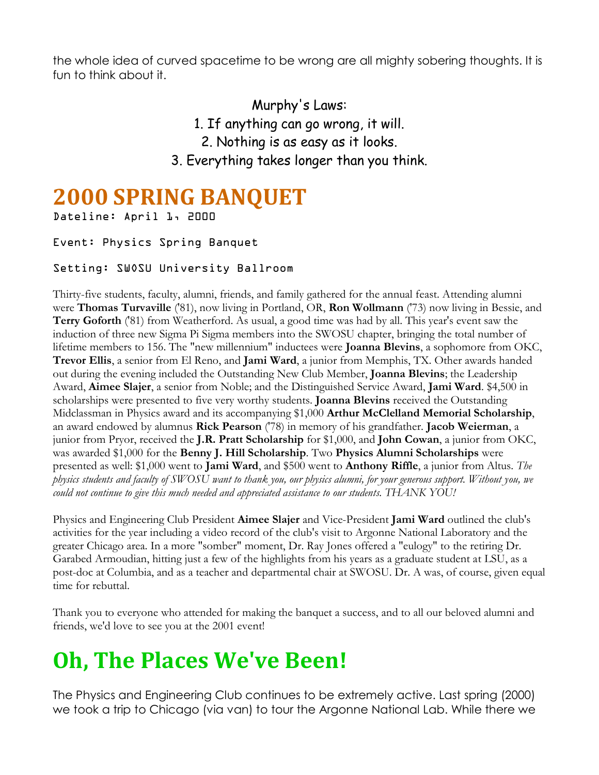the whole idea of curved spacetime to be wrong are all mighty sobering thoughts. It is fun to think about it.

> Murphy's Laws: 1. If anything can go wrong, it will. 2. Nothing is as easy as it looks. 3. Everything takes longer than you think.

### **2000 SPRING BANQUET**

Dateline: April 1, 2000

#### Event: Physics Spring Banquet

#### Setting: SWOSU University Ballroom

Thirty-five students, faculty, alumni, friends, and family gathered for the annual feast. Attending alumni were **Thomas Turvaville** ('81), now living in Portland, OR, **Ron Wollmann** ('73) now living in Bessie, and **Terry Goforth** ('81) from Weatherford. As usual, a good time was had by all. This year's event saw the induction of three new Sigma Pi Sigma members into the SWOSU chapter, bringing the total number of lifetime members to 156. The "new millennium" inductees were **Joanna Blevins**, a sophomore from OKC, **Trevor Ellis**, a senior from El Reno, and **Jami Ward**, a junior from Memphis, TX. Other awards handed out during the evening included the Outstanding New Club Member, **Joanna Blevins**; the Leadership Award, **Aimee Slajer**, a senior from Noble; and the Distinguished Service Award, **Jami Ward**. \$4,500 in scholarships were presented to five very worthy students. **Joanna Blevins** received the Outstanding Midclassman in Physics award and its accompanying \$1,000 **Arthur McClelland Memorial Scholarship**, an award endowed by alumnus **Rick Pearson** ('78) in memory of his grandfather. **Jacob Weierman**, a junior from Pryor, received the **J.R. Pratt Scholarship** for \$1,000, and **John Cowan**, a junior from OKC, was awarded \$1,000 for the **Benny J. Hill Scholarship**. Two **Physics Alumni Scholarships** were presented as well: \$1,000 went to **Jami Ward**, and \$500 went to **Anthony Riffle**, a junior from Altus. *The physics students and faculty of SWOSU want to thank you, our physics alumni, for your generous support. Without you, we could not continue to give this much needed and appreciated assistance to our students. THANK YOU!*

Physics and Engineering Club President **Aimee Slajer** and Vice-President **Jami Ward** outlined the club's activities for the year including a video record of the club's visit to Argonne National Laboratory and the greater Chicago area. In a more "somber" moment, Dr. Ray Jones offered a "eulogy" to the retiring Dr. Garabed Armoudian, hitting just a few of the highlights from his years as a graduate student at LSU, as a post-doc at Columbia, and as a teacher and departmental chair at SWOSU. Dr. A was, of course, given equal time for rebuttal.

Thank you to everyone who attended for making the banquet a success, and to all our beloved alumni and friends, we'd love to see you at the 2001 event!

# **Oh, The Places We've Been!**

The Physics and Engineering Club continues to be extremely active. Last spring (2000) we took a trip to Chicago (via van) to tour the Argonne National Lab. While there we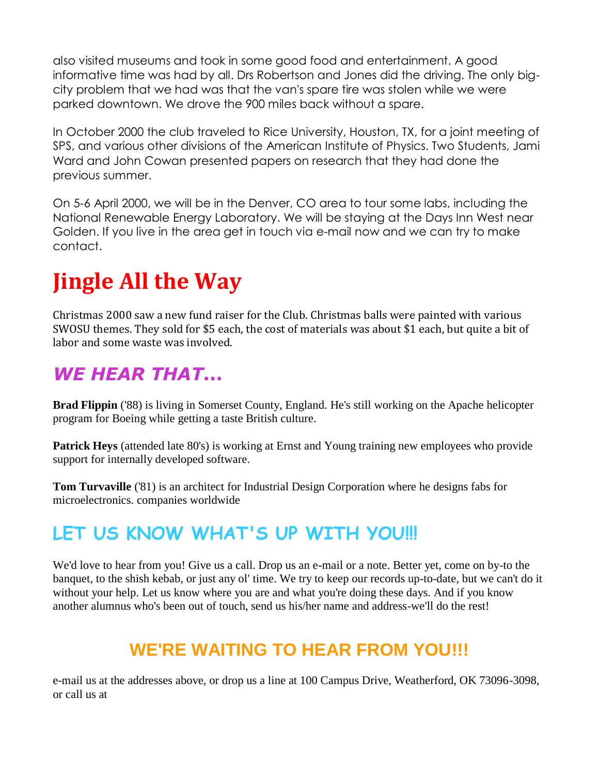also visited museums and took in some good food and entertainment. A good informative time was had by all. Drs Robertson and Jones did the driving. The only bigcity problem that we had was that the van's spare tire was stolen while we were parked downtown. We drove the 900 miles back without a spare.

In October 2000 the club traveled to Rice University, Houston, TX, for a joint meeting of SPS, and various other divisions of the American Institute of Physics. Two Students, Jami Ward and John Cowan presented papers on research that they had done the previous summer.

On 5-6 April 2000, we will be in the Denver, CO area to tour some labs, including the National Renewable Energy Laboratory. We will be staying at the Days Inn West near Golden. If you live in the area get in touch via e-mail now and we can try to make contact.

# **Jingle All the Way**

Christmas 2000 saw a new fund raiser for the Club. Christmas balls were painted with various SWOSU themes. They sold for \$5 each, the cost of materials was about \$1 each, but quite a bit of labor and some waste was involved.

#### *WE HEAR THAT***...**

**Brad Flippin** ('88) is living in Somerset County, England. He's still working on the Apache helicopter program for Boeing while getting a taste British culture.

**Patrick Heys** (attended late 80's) is working at Ernst and Young training new employees who provide support for internally developed software.

**Tom Turvaville** ('81) is an architect for Industrial Design Corporation where he designs fabs for microelectronics. companies worldwide

### **LET US KNOW WHAT'S UP WITH YOU!!!**

We'd love to hear from you! Give us a call. Drop us an e-mail or a note. Better yet, come on by-to the banquet, to the shish kebab, or just any ol' time. We try to keep our records up-to-date, but we can't do it without your help. Let us know where you are and what you're doing these days. And if you know another alumnus who's been out of touch, send us his/her name and address-we'll do the rest!

#### **WE'RE WAITING TO HEAR FROM YOU!!!**

e-mail us at the addresses above, or drop us a line at 100 Campus Drive, Weatherford, OK 73096-3098, or call us at